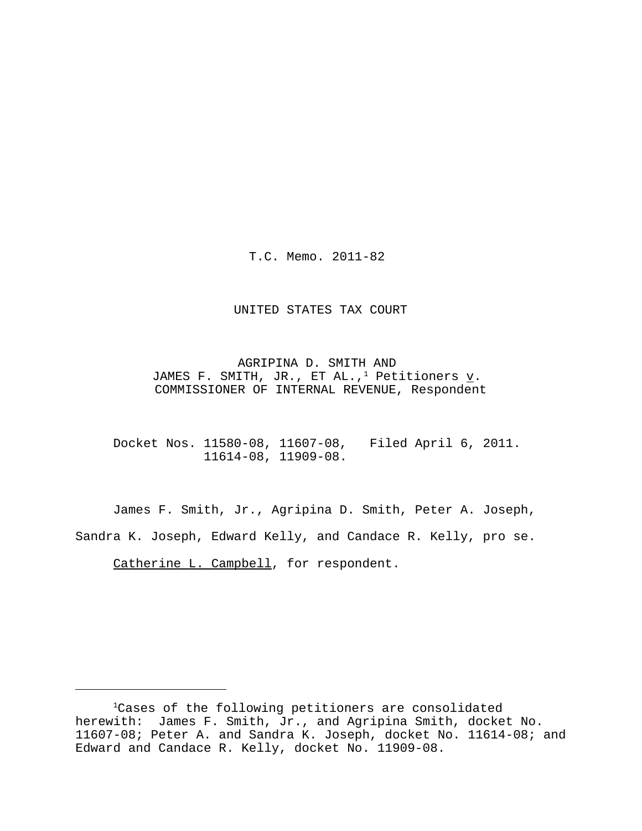T.C. Memo. 2011-82

#### UNITED STATES TAX COURT

AGRIPINA D. SMITH AND JAMES F. SMITH, JR., ET AL.,<sup>1</sup> Petitioners  $\underline{v}$ . COMMISSIONER OF INTERNAL REVENUE, Respondent

Docket Nos. 11580-08, 11607-08, Filed April 6, 2011. 11614-08, 11909-08.

James F. Smith, Jr., Agripina D. Smith, Peter A. Joseph, Sandra K. Joseph, Edward Kelly, and Candace R. Kelly, pro se.

Catherine L. Campbell, for respondent.

<sup>&</sup>lt;sup>1</sup>Cases of the following petitioners are consolidated herewith: James F. Smith, Jr., and Agripina Smith, docket No. 11607-08; Peter A. and Sandra K. Joseph, docket No. 11614-08; and Edward and Candace R. Kelly, docket No. 11909-08.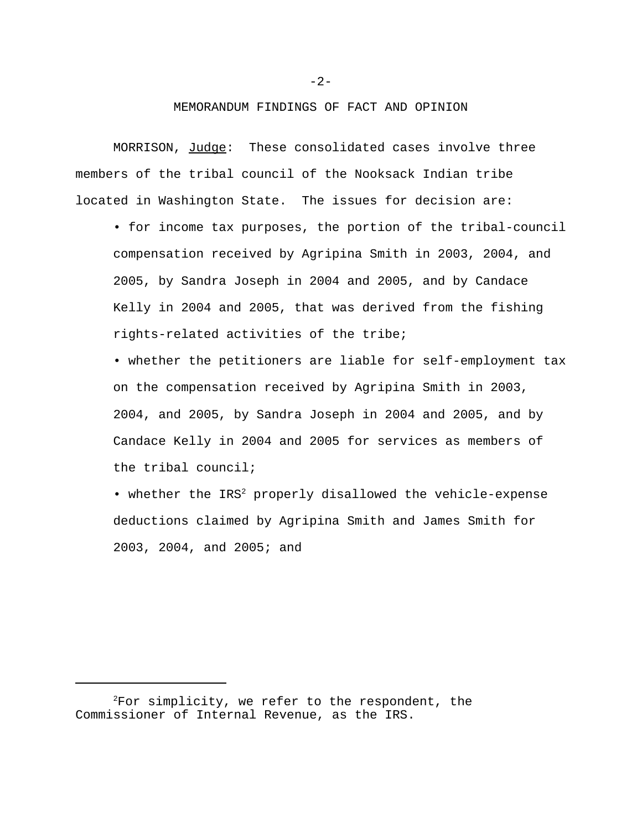### MEMORANDUM FINDINGS OF FACT AND OPINION

MORRISON, Judge: These consolidated cases involve three members of the tribal council of the Nooksack Indian tribe located in Washington State. The issues for decision are:

• for income tax purposes, the portion of the tribal-council compensation received by Agripina Smith in 2003, 2004, and 2005, by Sandra Joseph in 2004 and 2005, and by Candace Kelly in 2004 and 2005, that was derived from the fishing rights-related activities of the tribe;

• whether the petitioners are liable for self-employment tax on the compensation received by Agripina Smith in 2003, 2004, and 2005, by Sandra Joseph in 2004 and 2005, and by Candace Kelly in 2004 and 2005 for services as members of the tribal council;

• whether the  $IRS^2$  properly disallowed the vehicle-expense deductions claimed by Agripina Smith and James Smith for 2003, 2004, and 2005; and

 $2$ For simplicity, we refer to the respondent, the Commissioner of Internal Revenue, as the IRS.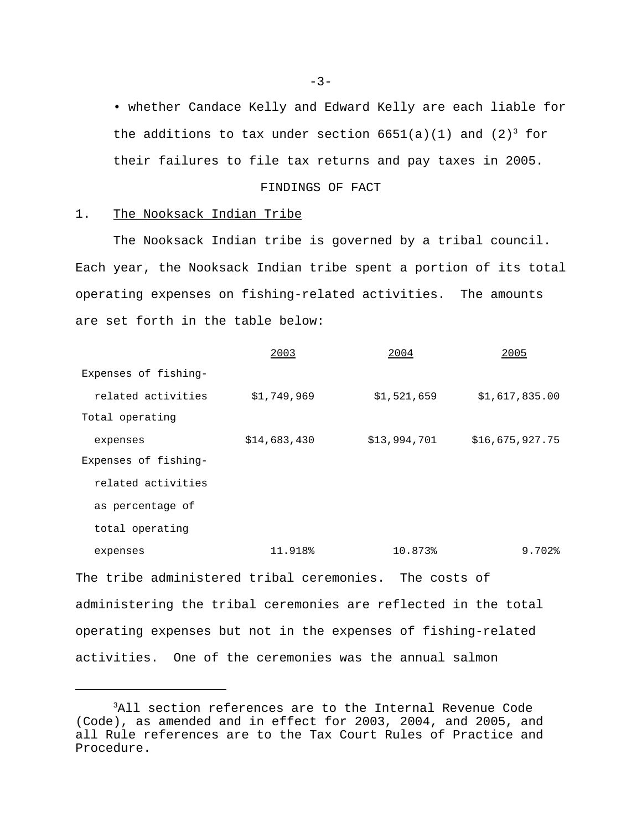• whether Candace Kelly and Edward Kelly are each liable for the additions to tax under section  $6651(a)(1)$  and  $(2)^3$  for their failures to file tax returns and pay taxes in 2005.

### FINDINGS OF FACT

## 1. The Nooksack Indian Tribe

The Nooksack Indian tribe is governed by a tribal council. Each year, the Nooksack Indian tribe spent a portion of its total operating expenses on fishing-related activities. The amounts are set forth in the table below:

|                                                                | 2003         | 2004         | 2005            |
|----------------------------------------------------------------|--------------|--------------|-----------------|
| Expenses of fishing-                                           |              |              |                 |
| related activities                                             | \$1,749,969  | \$1,521,659  | \$1,617,835.00  |
| Total operating                                                |              |              |                 |
| expenses                                                       | \$14,683,430 | \$13,994,701 | \$16,675,927.75 |
| Expenses of fishing-                                           |              |              |                 |
| related activities                                             |              |              |                 |
| as percentage of                                               |              |              |                 |
| total operating                                                |              |              |                 |
| expenses                                                       | 11.918%      | 10.873%      | 9.702%          |
| The tribe administered tribal ceremonies. The costs of         |              |              |                 |
| administering the tribal ceremonies are reflected in the total |              |              |                 |
| operating expenses but not in the expenses of fishing-related  |              |              |                 |

activities. One of the ceremonies was the annual salmon

<sup>&</sup>lt;sup>3</sup>All section references are to the Internal Revenue Code (Code), as amended and in effect for 2003, 2004, and 2005, and all Rule references are to the Tax Court Rules of Practice and Procedure.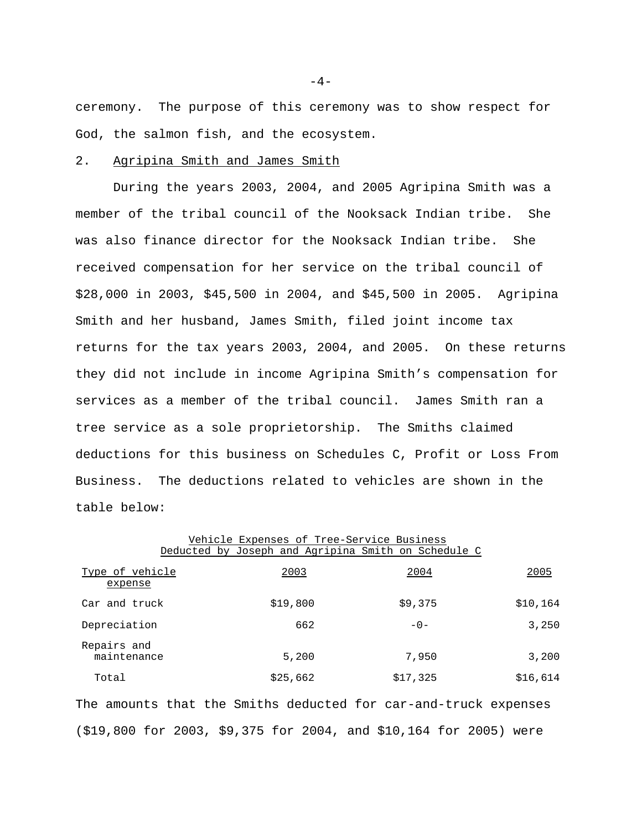ceremony. The purpose of this ceremony was to show respect for God, the salmon fish, and the ecosystem.

#### 2. Agripina Smith and James Smith

During the years 2003, 2004, and 2005 Agripina Smith was a member of the tribal council of the Nooksack Indian tribe. She was also finance director for the Nooksack Indian tribe. She received compensation for her service on the tribal council of \$28,000 in 2003, \$45,500 in 2004, and \$45,500 in 2005. Agripina Smith and her husband, James Smith, filed joint income tax returns for the tax years 2003, 2004, and 2005. On these returns they did not include in income Agripina Smith's compensation for services as a member of the tribal council. James Smith ran a tree service as a sole proprietorship. The Smiths claimed deductions for this business on Schedules C, Profit or Loss From Business. The deductions related to vehicles are shown in the table below:

|                            | Vehicle Expenses of Tree-Service Business           |          |          |
|----------------------------|-----------------------------------------------------|----------|----------|
|                            | Deducted by Joseph and Agripina Smith on Schedule C |          |          |
| Type of vehicle<br>expense | 2003                                                | 2004     | 2005     |
| Car and truck              | \$19,800                                            | \$9,375  | \$10,164 |
| Depreciation               | 662                                                 | $-0-$    | 3,250    |
| Repairs and<br>maintenance | 5,200                                               | 7,950    | 3,200    |
| Total                      | \$25,662                                            | \$17,325 | \$16,614 |

The amounts that the Smiths deducted for car-and-truck expenses (\$19,800 for 2003, \$9,375 for 2004, and \$10,164 for 2005) were

 $-4-$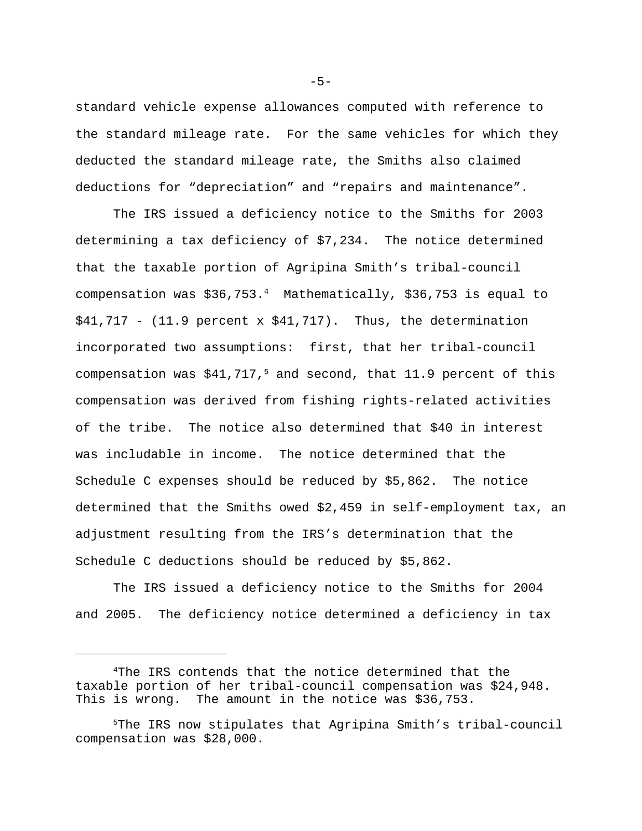standard vehicle expense allowances computed with reference to the standard mileage rate. For the same vehicles for which they deducted the standard mileage rate, the Smiths also claimed deductions for "depreciation" and "repairs and maintenance".

The IRS issued a deficiency notice to the Smiths for 2003 determining a tax deficiency of \$7,234. The notice determined that the taxable portion of Agripina Smith's tribal-council compensation was \$36,753.<sup>4</sup> Mathematically, \$36,753 is equal to  $$41,717$  - (11.9 percent x  $$41,717$ ). Thus, the determination incorporated two assumptions: first, that her tribal-council compensation was  $$41,717$ ,<sup>5</sup> and second, that 11.9 percent of this compensation was derived from fishing rights-related activities of the tribe. The notice also determined that \$40 in interest was includable in income. The notice determined that the Schedule C expenses should be reduced by \$5,862. The notice determined that the Smiths owed \$2,459 in self-employment tax, an adjustment resulting from the IRS's determination that the Schedule C deductions should be reduced by \$5,862.

The IRS issued a deficiency notice to the Smiths for 2004 and 2005. The deficiency notice determined a deficiency in tax

 $-5-$ 

<sup>4</sup>The IRS contends that the notice determined that the taxable portion of her tribal-council compensation was \$24,948. This is wrong. The amount in the notice was \$36,753.

<sup>5</sup>The IRS now stipulates that Agripina Smith's tribal-council compensation was \$28,000.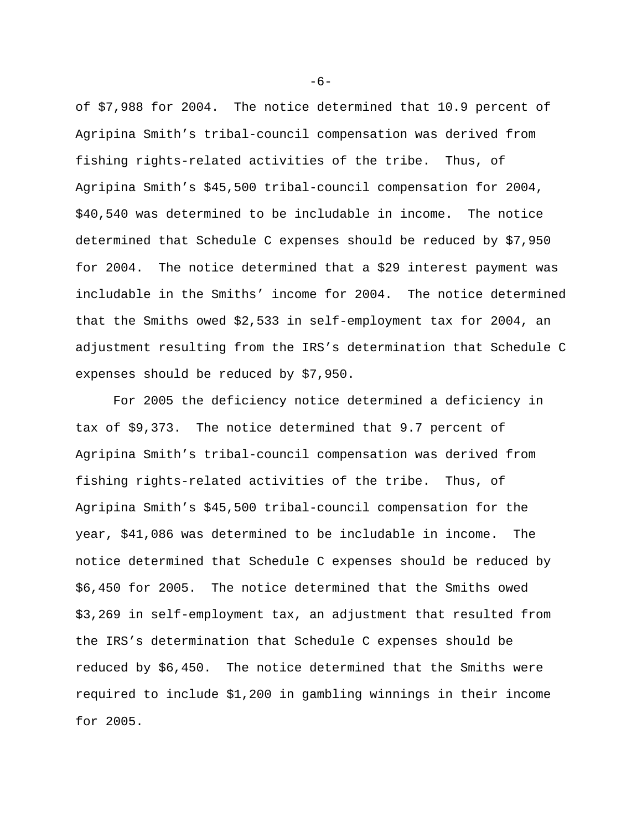of \$7,988 for 2004. The notice determined that 10.9 percent of Agripina Smith's tribal-council compensation was derived from fishing rights-related activities of the tribe. Thus, of Agripina Smith's \$45,500 tribal-council compensation for 2004, \$40,540 was determined to be includable in income. The notice determined that Schedule C expenses should be reduced by \$7,950 for 2004. The notice determined that a \$29 interest payment was includable in the Smiths' income for 2004. The notice determined that the Smiths owed \$2,533 in self-employment tax for 2004, an adjustment resulting from the IRS's determination that Schedule C expenses should be reduced by \$7,950.

For 2005 the deficiency notice determined a deficiency in tax of \$9,373. The notice determined that 9.7 percent of Agripina Smith's tribal-council compensation was derived from fishing rights-related activities of the tribe. Thus, of Agripina Smith's \$45,500 tribal-council compensation for the year, \$41,086 was determined to be includable in income. The notice determined that Schedule C expenses should be reduced by \$6,450 for 2005. The notice determined that the Smiths owed \$3,269 in self-employment tax, an adjustment that resulted from the IRS's determination that Schedule C expenses should be reduced by \$6,450. The notice determined that the Smiths were required to include \$1,200 in gambling winnings in their income for 2005.

 $-6-$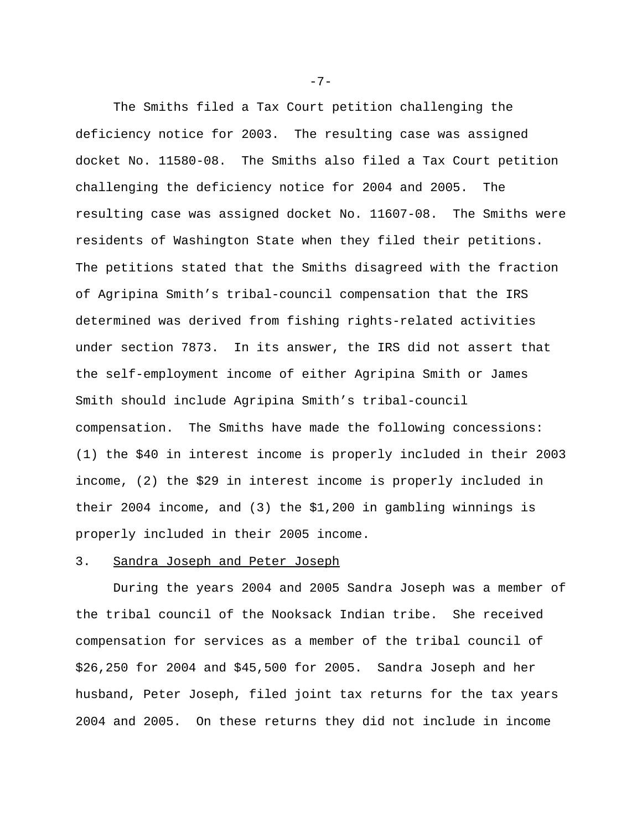The Smiths filed a Tax Court petition challenging the deficiency notice for 2003. The resulting case was assigned docket No. 11580-08. The Smiths also filed a Tax Court petition challenging the deficiency notice for 2004 and 2005. The resulting case was assigned docket No. 11607-08. The Smiths were residents of Washington State when they filed their petitions. The petitions stated that the Smiths disagreed with the fraction of Agripina Smith's tribal-council compensation that the IRS determined was derived from fishing rights-related activities under section 7873. In its answer, the IRS did not assert that the self-employment income of either Agripina Smith or James Smith should include Agripina Smith's tribal-council compensation. The Smiths have made the following concessions: (1) the \$40 in interest income is properly included in their 2003 income, (2) the \$29 in interest income is properly included in their 2004 income, and (3) the \$1,200 in gambling winnings is properly included in their 2005 income.

## 3. Sandra Joseph and Peter Joseph

During the years 2004 and 2005 Sandra Joseph was a member of the tribal council of the Nooksack Indian tribe. She received compensation for services as a member of the tribal council of \$26,250 for 2004 and \$45,500 for 2005. Sandra Joseph and her husband, Peter Joseph, filed joint tax returns for the tax years 2004 and 2005. On these returns they did not include in income

 $-7-$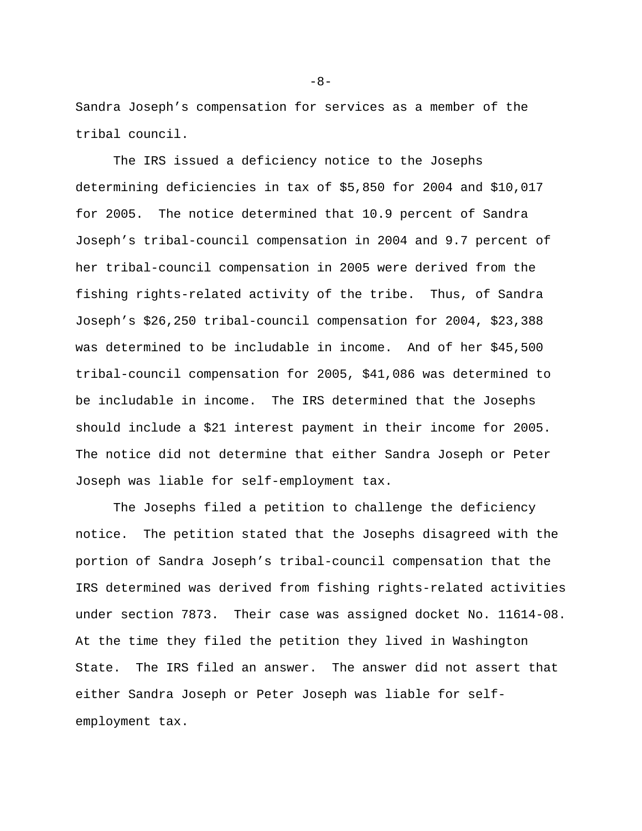Sandra Joseph's compensation for services as a member of the tribal council.

The IRS issued a deficiency notice to the Josephs determining deficiencies in tax of \$5,850 for 2004 and \$10,017 for 2005. The notice determined that 10.9 percent of Sandra Joseph's tribal-council compensation in 2004 and 9.7 percent of her tribal-council compensation in 2005 were derived from the fishing rights-related activity of the tribe. Thus, of Sandra Joseph's \$26,250 tribal-council compensation for 2004, \$23,388 was determined to be includable in income. And of her \$45,500 tribal-council compensation for 2005, \$41,086 was determined to be includable in income. The IRS determined that the Josephs should include a \$21 interest payment in their income for 2005. The notice did not determine that either Sandra Joseph or Peter Joseph was liable for self-employment tax.

The Josephs filed a petition to challenge the deficiency notice. The petition stated that the Josephs disagreed with the portion of Sandra Joseph's tribal-council compensation that the IRS determined was derived from fishing rights-related activities under section 7873. Their case was assigned docket No. 11614-08. At the time they filed the petition they lived in Washington State. The IRS filed an answer. The answer did not assert that either Sandra Joseph or Peter Joseph was liable for selfemployment tax.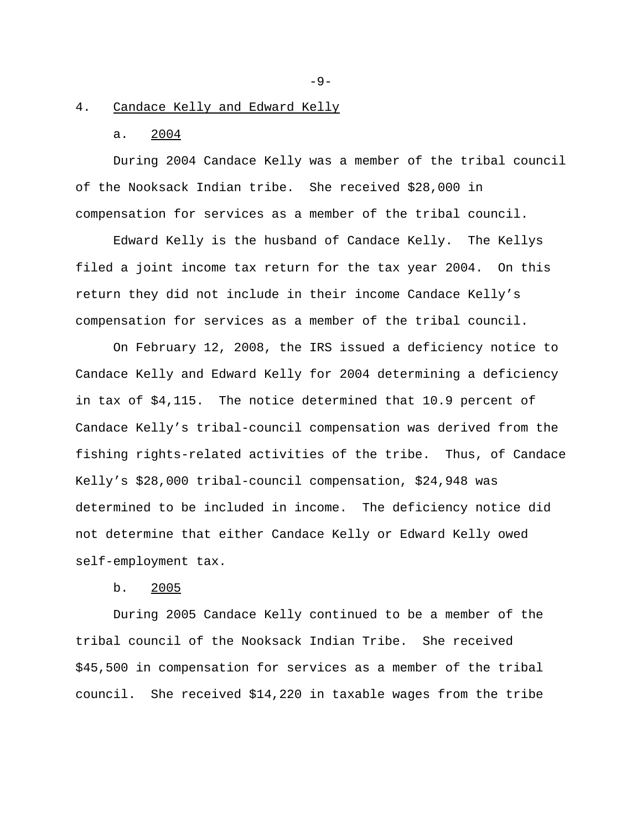#### 4. Candace Kelly and Edward Kelly

### a. 2004

During 2004 Candace Kelly was a member of the tribal council of the Nooksack Indian tribe. She received \$28,000 in compensation for services as a member of the tribal council.

Edward Kelly is the husband of Candace Kelly. The Kellys filed a joint income tax return for the tax year 2004. On this return they did not include in their income Candace Kelly's compensation for services as a member of the tribal council.

On February 12, 2008, the IRS issued a deficiency notice to Candace Kelly and Edward Kelly for 2004 determining a deficiency in tax of \$4,115. The notice determined that 10.9 percent of Candace Kelly's tribal-council compensation was derived from the fishing rights-related activities of the tribe. Thus, of Candace Kelly's \$28,000 tribal-council compensation, \$24,948 was determined to be included in income. The deficiency notice did not determine that either Candace Kelly or Edward Kelly owed self-employment tax.

b. 2005

During 2005 Candace Kelly continued to be a member of the tribal council of the Nooksack Indian Tribe. She received \$45,500 in compensation for services as a member of the tribal council. She received \$14,220 in taxable wages from the tribe

 $-9-$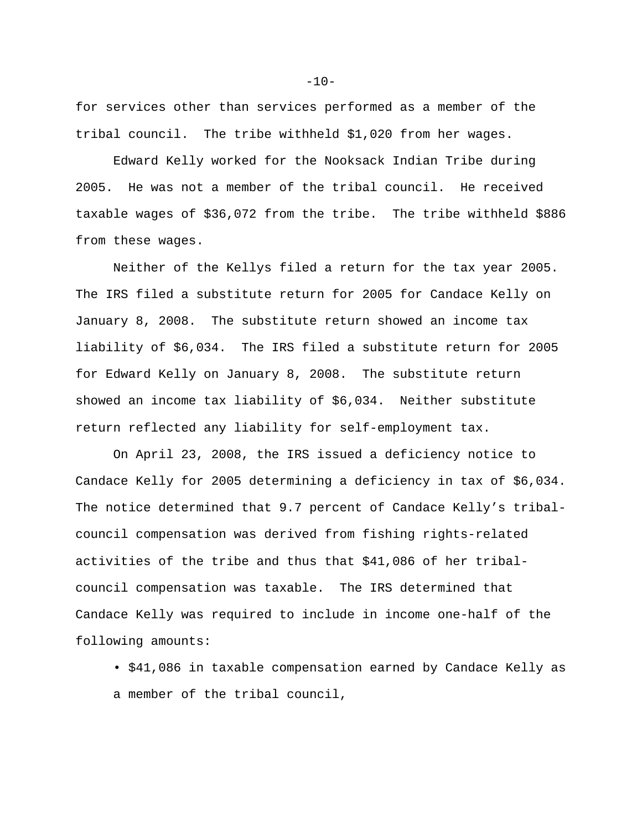for services other than services performed as a member of the tribal council. The tribe withheld \$1,020 from her wages.

Edward Kelly worked for the Nooksack Indian Tribe during 2005. He was not a member of the tribal council. He received taxable wages of \$36,072 from the tribe. The tribe withheld \$886 from these wages.

Neither of the Kellys filed a return for the tax year 2005. The IRS filed a substitute return for 2005 for Candace Kelly on January 8, 2008. The substitute return showed an income tax liability of \$6,034. The IRS filed a substitute return for 2005 for Edward Kelly on January 8, 2008. The substitute return showed an income tax liability of \$6,034. Neither substitute return reflected any liability for self-employment tax.

On April 23, 2008, the IRS issued a deficiency notice to Candace Kelly for 2005 determining a deficiency in tax of \$6,034. The notice determined that 9.7 percent of Candace Kelly's tribalcouncil compensation was derived from fishing rights-related activities of the tribe and thus that \$41,086 of her tribalcouncil compensation was taxable. The IRS determined that Candace Kelly was required to include in income one-half of the following amounts:

• \$41,086 in taxable compensation earned by Candace Kelly as a member of the tribal council,

 $-10-$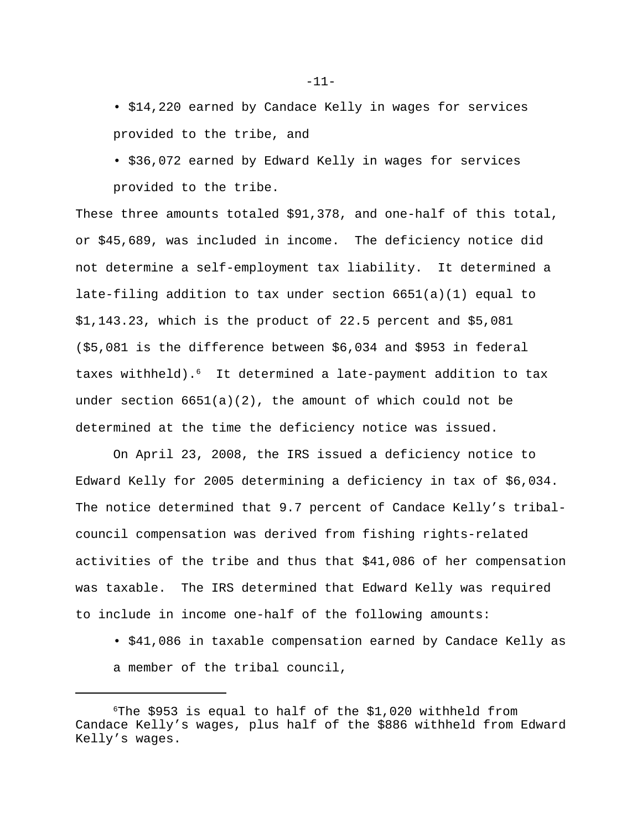• \$14,220 earned by Candace Kelly in wages for services provided to the tribe, and

• \$36,072 earned by Edward Kelly in wages for services provided to the tribe.

These three amounts totaled \$91,378, and one-half of this total, or \$45,689, was included in income. The deficiency notice did not determine a self-employment tax liability. It determined a late-filing addition to tax under section 6651(a)(1) equal to \$1,143.23, which is the product of 22.5 percent and \$5,081 (\$5,081 is the difference between \$6,034 and \$953 in federal taxes withheld).<sup>6</sup> It determined a late-payment addition to tax under section  $6651(a)(2)$ , the amount of which could not be determined at the time the deficiency notice was issued.

On April 23, 2008, the IRS issued a deficiency notice to Edward Kelly for 2005 determining a deficiency in tax of \$6,034. The notice determined that 9.7 percent of Candace Kelly's tribalcouncil compensation was derived from fishing rights-related activities of the tribe and thus that \$41,086 of her compensation was taxable. The IRS determined that Edward Kelly was required to include in income one-half of the following amounts:

• \$41,086 in taxable compensation earned by Candace Kelly as a member of the tribal council,

-11-

 $6$ The \$953 is equal to half of the \$1,020 withheld from Candace Kelly's wages, plus half of the \$886 withheld from Edward Kelly's wages.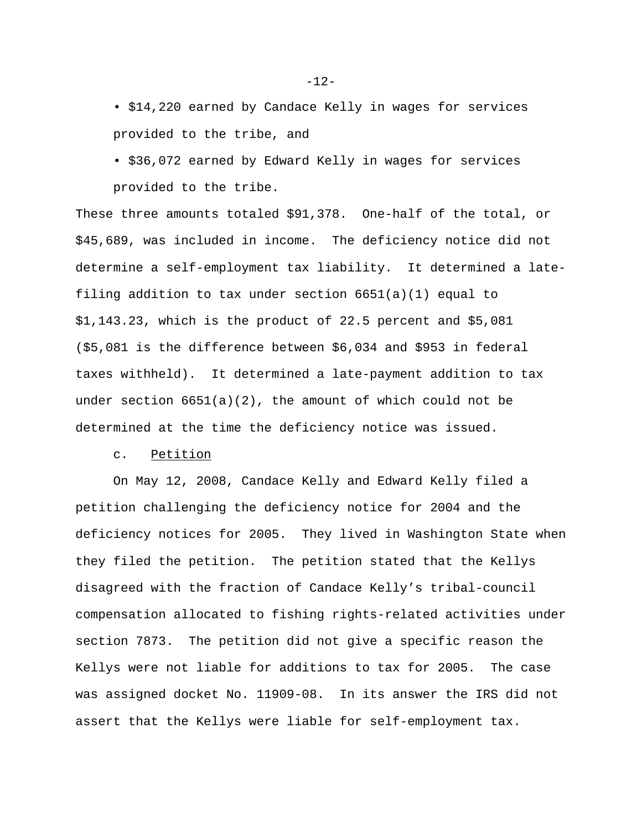• \$14,220 earned by Candace Kelly in wages for services provided to the tribe, and

• \$36,072 earned by Edward Kelly in wages for services provided to the tribe.

These three amounts totaled \$91,378. One-half of the total, or \$45,689, was included in income. The deficiency notice did not determine a self-employment tax liability. It determined a latefiling addition to tax under section 6651(a)(1) equal to \$1,143.23, which is the product of 22.5 percent and \$5,081 (\$5,081 is the difference between \$6,034 and \$953 in federal taxes withheld). It determined a late-payment addition to tax under section  $6651(a)(2)$ , the amount of which could not be determined at the time the deficiency notice was issued.

#### c. Petition

On May 12, 2008, Candace Kelly and Edward Kelly filed a petition challenging the deficiency notice for 2004 and the deficiency notices for 2005. They lived in Washington State when they filed the petition. The petition stated that the Kellys disagreed with the fraction of Candace Kelly's tribal-council compensation allocated to fishing rights-related activities under section 7873. The petition did not give a specific reason the Kellys were not liable for additions to tax for 2005. The case was assigned docket No. 11909-08. In its answer the IRS did not assert that the Kellys were liable for self-employment tax.

-12-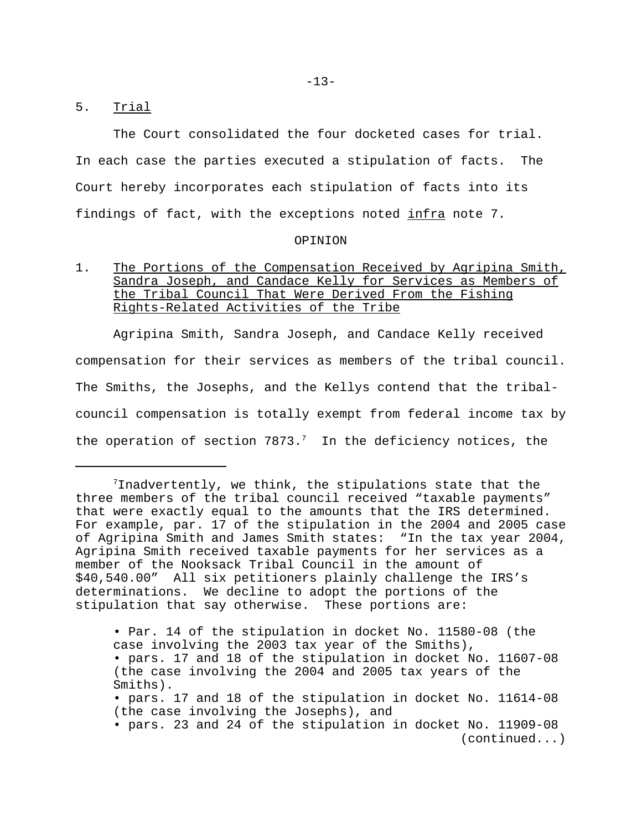### 5. Trial

The Court consolidated the four docketed cases for trial. In each case the parties executed a stipulation of facts. The Court hereby incorporates each stipulation of facts into its findings of fact, with the exceptions noted infra note 7.

#### OPINION

# 1. The Portions of the Compensation Received by Agripina Smith, Sandra Joseph, and Candace Kelly for Services as Members of the Tribal Council That Were Derived From the Fishing Rights-Related Activities of the Tribe

Agripina Smith, Sandra Joseph, and Candace Kelly received compensation for their services as members of the tribal council. The Smiths, the Josephs, and the Kellys contend that the tribalcouncil compensation is totally exempt from federal income tax by the operation of section  $7873.^7$  In the deficiency notices, the

• Par. 14 of the stipulation in docket No. 11580-08 (the case involving the 2003 tax year of the Smiths), • pars. 17 and 18 of the stipulation in docket No. 11607-08 (the case involving the 2004 and 2005 tax years of the Smiths). • pars. 17 and 18 of the stipulation in docket No. 11614-08 (the case involving the Josephs), and • pars. 23 and 24 of the stipulation in docket No. 11909-08 (continued...)

 $7$ Inadvertently, we think, the stipulations state that the three members of the tribal council received "taxable payments" that were exactly equal to the amounts that the IRS determined. For example, par. 17 of the stipulation in the 2004 and 2005 case of Agripina Smith and James Smith states: "In the tax year 2004, Agripina Smith received taxable payments for her services as a member of the Nooksack Tribal Council in the amount of \$40,540.00" All six petitioners plainly challenge the IRS's determinations. We decline to adopt the portions of the stipulation that say otherwise. These portions are: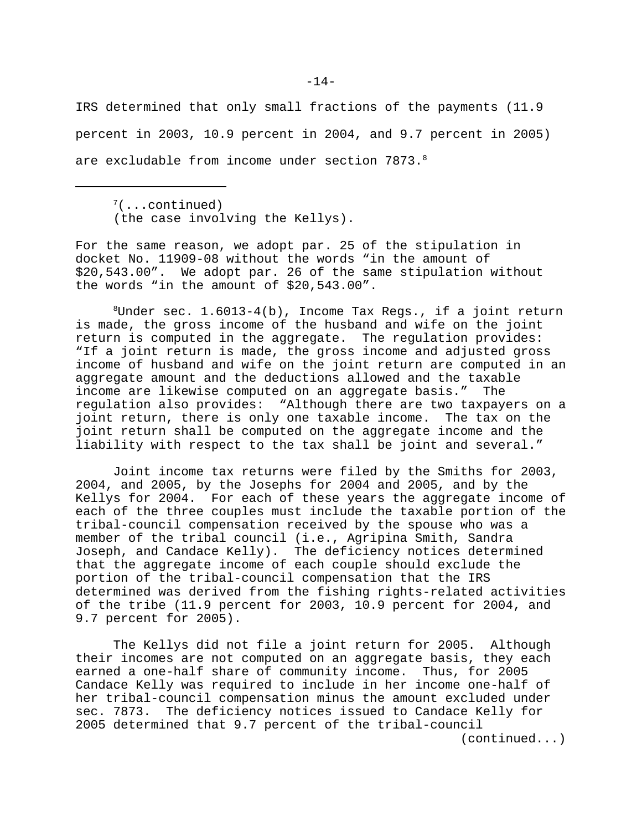IRS determined that only small fractions of the payments (11.9 percent in 2003, 10.9 percent in 2004, and 9.7 percent in 2005) are excludable from income under section  $7873.^8$ 

 $7($ ...continued) (the case involving the Kellys).

For the same reason, we adopt par. 25 of the stipulation in docket No. 11909-08 without the words "in the amount of \$20,543.00". We adopt par. 26 of the same stipulation without the words "in the amount of \$20,543.00".

 $8$ Under sec. 1.6013-4(b), Income Tax Regs., if a joint return is made, the gross income of the husband and wife on the joint return is computed in the aggregate. The regulation provides: "If a joint return is made, the gross income and adjusted gross income of husband and wife on the joint return are computed in an aggregate amount and the deductions allowed and the taxable income are likewise computed on an aggregate basis." The regulation also provides: "Although there are two taxpayers on a joint return, there is only one taxable income. The tax on the joint return shall be computed on the aggregate income and the liability with respect to the tax shall be joint and several."

Joint income tax returns were filed by the Smiths for 2003, 2004, and 2005, by the Josephs for 2004 and 2005, and by the Kellys for 2004. For each of these years the aggregate income of each of the three couples must include the taxable portion of the tribal-council compensation received by the spouse who was a member of the tribal council (i.e., Agripina Smith, Sandra Joseph, and Candace Kelly). The deficiency notices determined that the aggregate income of each couple should exclude the portion of the tribal-council compensation that the IRS determined was derived from the fishing rights-related activities of the tribe (11.9 percent for 2003, 10.9 percent for 2004, and 9.7 percent for 2005).

The Kellys did not file a joint return for 2005. Although their incomes are not computed on an aggregate basis, they each earned a one-half share of community income. Thus, for 2005 Candace Kelly was required to include in her income one-half of her tribal-council compensation minus the amount excluded under sec. 7873. The deficiency notices issued to Candace Kelly for 2005 determined that 9.7 percent of the tribal-council (continued...)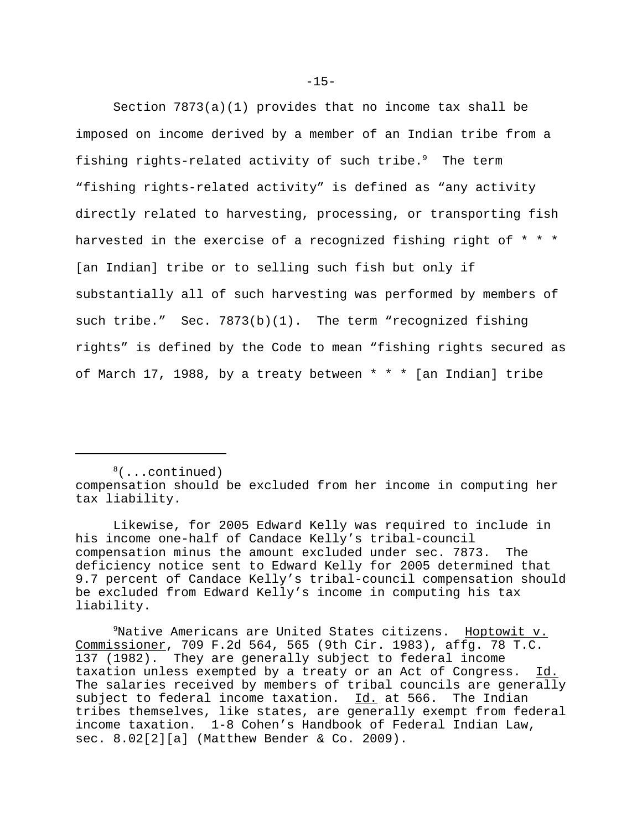Section 7873(a)(1) provides that no income tax shall be imposed on income derived by a member of an Indian tribe from a fishing rights-related activity of such tribe. $9$  The term "fishing rights-related activity" is defined as "any activity directly related to harvesting, processing, or transporting fish harvested in the exercise of a recognized fishing right of \* \* \* [an Indian] tribe or to selling such fish but only if substantially all of such harvesting was performed by members of such tribe." Sec. 7873(b)(1). The term "recognized fishing rights" is defined by the Code to mean "fishing rights secured as of March 17, 1988, by a treaty between \* \* \* [an Indian] tribe

 $8($ ...continued) compensation should be excluded from her income in computing her tax liability.

Likewise, for 2005 Edward Kelly was required to include in his income one-half of Candace Kelly's tribal-council compensation minus the amount excluded under sec. 7873. The deficiency notice sent to Edward Kelly for 2005 determined that 9.7 percent of Candace Kelly's tribal-council compensation should be excluded from Edward Kelly's income in computing his tax liability.

<sup>9</sup>Native Americans are United States citizens. Hoptowit v. Commissioner, 709 F.2d 564, 565 (9th Cir. 1983), affg. 78 T.C. 137 (1982). They are generally subject to federal income taxation unless exempted by a treaty or an Act of Congress. Id. The salaries received by members of tribal councils are generally subject to federal income taxation. Id. at 566. The Indian tribes themselves, like states, are generally exempt from federal income taxation. 1-8 Cohen's Handbook of Federal Indian Law, sec. 8.02[2][a] (Matthew Bender & Co. 2009).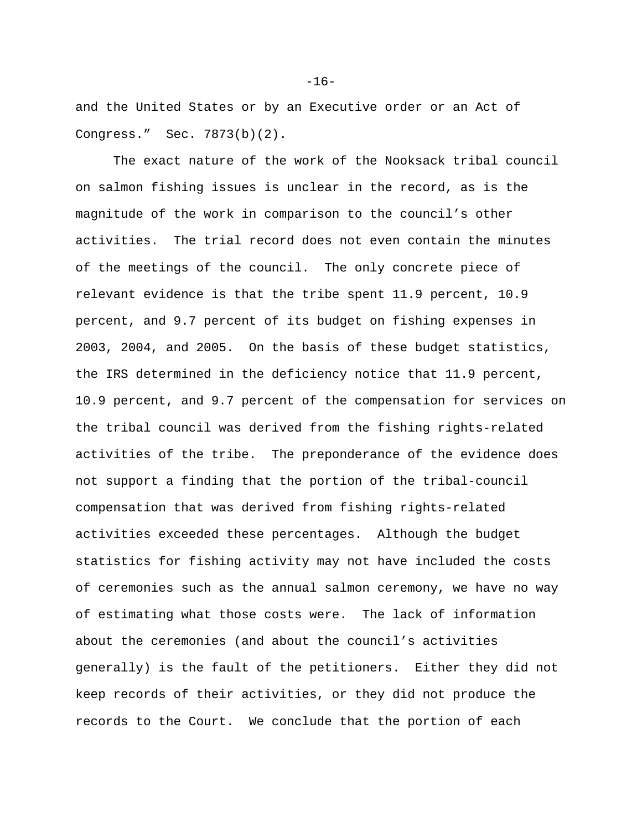and the United States or by an Executive order or an Act of Congress." Sec. 7873(b)(2).

The exact nature of the work of the Nooksack tribal council on salmon fishing issues is unclear in the record, as is the magnitude of the work in comparison to the council's other activities. The trial record does not even contain the minutes of the meetings of the council. The only concrete piece of relevant evidence is that the tribe spent 11.9 percent, 10.9 percent, and 9.7 percent of its budget on fishing expenses in 2003, 2004, and 2005. On the basis of these budget statistics, the IRS determined in the deficiency notice that 11.9 percent, 10.9 percent, and 9.7 percent of the compensation for services on the tribal council was derived from the fishing rights-related activities of the tribe. The preponderance of the evidence does not support a finding that the portion of the tribal-council compensation that was derived from fishing rights-related activities exceeded these percentages. Although the budget statistics for fishing activity may not have included the costs of ceremonies such as the annual salmon ceremony, we have no way of estimating what those costs were. The lack of information about the ceremonies (and about the council's activities generally) is the fault of the petitioners. Either they did not keep records of their activities, or they did not produce the records to the Court. We conclude that the portion of each

 $-16-$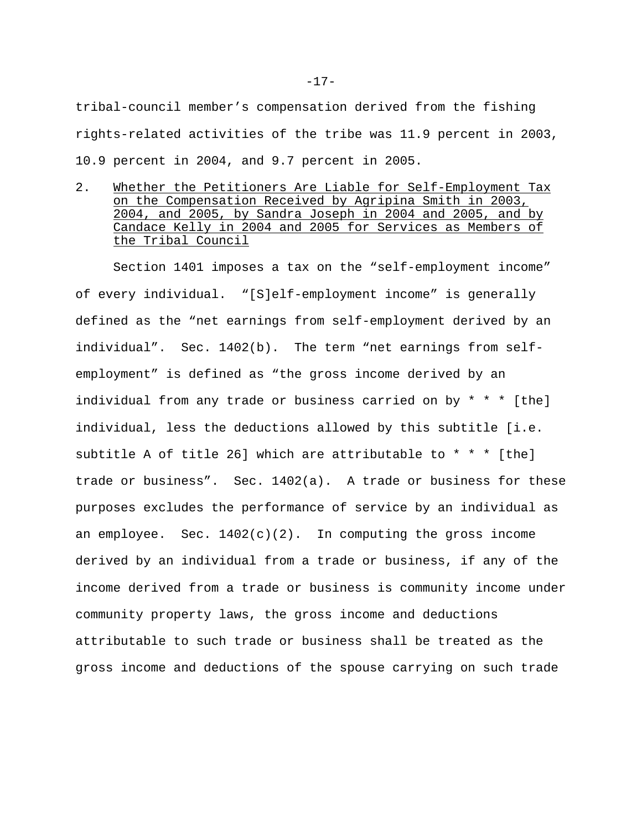tribal-council member's compensation derived from the fishing rights-related activities of the tribe was 11.9 percent in 2003, 10.9 percent in 2004, and 9.7 percent in 2005.

2. Whether the Petitioners Are Liable for Self-Employment Tax on the Compensation Received by Agripina Smith in 2003, 2004, and 2005, by Sandra Joseph in 2004 and 2005, and by Candace Kelly in 2004 and 2005 for Services as Members of the Tribal Council

Section 1401 imposes a tax on the "self-employment income" of every individual. "[S]elf-employment income" is generally defined as the "net earnings from self-employment derived by an individual". Sec. 1402(b). The term "net earnings from selfemployment" is defined as "the gross income derived by an individual from any trade or business carried on by \* \* \* [the] individual, less the deductions allowed by this subtitle [i.e. subtitle A of title 26] which are attributable to  $* * *$  [the] trade or business". Sec. 1402(a). A trade or business for these purposes excludes the performance of service by an individual as an employee. Sec.  $1402(c)(2)$ . In computing the gross income derived by an individual from a trade or business, if any of the income derived from a trade or business is community income under community property laws, the gross income and deductions attributable to such trade or business shall be treated as the gross income and deductions of the spouse carrying on such trade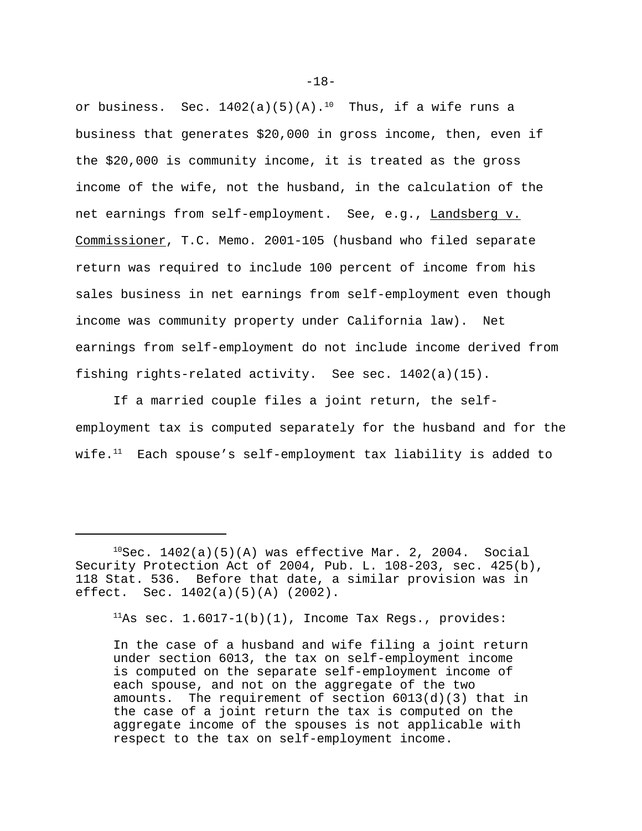or business. Sec.  $1402(a)(5)(A).^{10}$  Thus, if a wife runs a business that generates \$20,000 in gross income, then, even if the \$20,000 is community income, it is treated as the gross income of the wife, not the husband, in the calculation of the net earnings from self-employment. See, e.g., Landsberg v. Commissioner, T.C. Memo. 2001-105 (husband who filed separate return was required to include 100 percent of income from his sales business in net earnings from self-employment even though income was community property under California law). Net earnings from self-employment do not include income derived from fishing rights-related activity. See sec. 1402(a)(15).

If a married couple files a joint return, the selfemployment tax is computed separately for the husband and for the wife. $11$  Each spouse's self-employment tax liability is added to

 $11$ As sec.  $1.6017-1(b)(1)$ , Income Tax Regs., provides:

In the case of a husband and wife filing a joint return under section 6013, the tax on self-employment income is computed on the separate self-employment income of each spouse, and not on the aggregate of the two amounts. The requirement of section 6013(d)(3) that in the case of a joint return the tax is computed on the aggregate income of the spouses is not applicable with respect to the tax on self-employment income.

-18-

 $10$ Sec. 1402(a)(5)(A) was effective Mar. 2, 2004. Social Security Protection Act of 2004, Pub. L. 108-203, sec. 425(b), 118 Stat. 536. Before that date, a similar provision was in effect. Sec. 1402(a)(5)(A) (2002).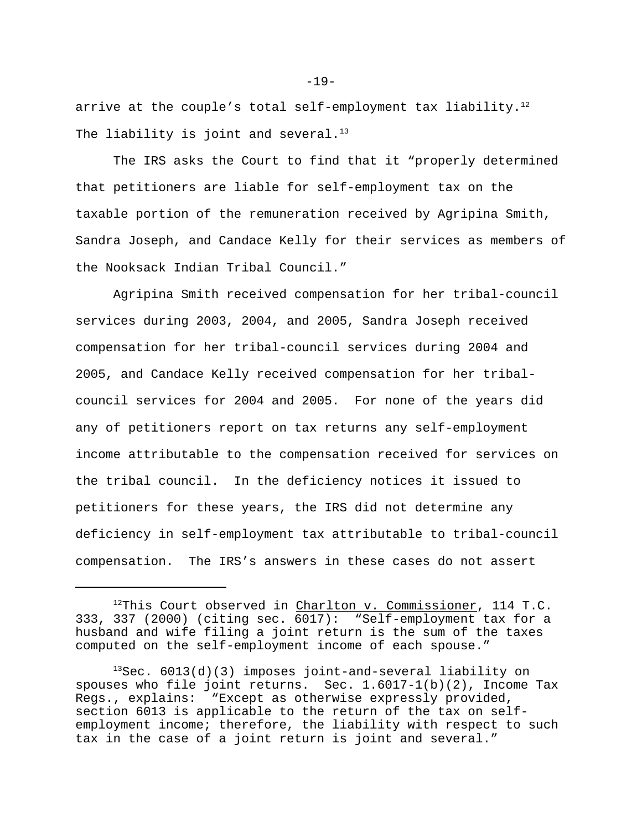arrive at the couple's total self-employment tax liability.<sup>12</sup> The liability is joint and several. $13$ 

The IRS asks the Court to find that it "properly determined that petitioners are liable for self-employment tax on the taxable portion of the remuneration received by Agripina Smith, Sandra Joseph, and Candace Kelly for their services as members of the Nooksack Indian Tribal Council."

Agripina Smith received compensation for her tribal-council services during 2003, 2004, and 2005, Sandra Joseph received compensation for her tribal-council services during 2004 and 2005, and Candace Kelly received compensation for her tribalcouncil services for 2004 and 2005. For none of the years did any of petitioners report on tax returns any self-employment income attributable to the compensation received for services on the tribal council. In the deficiency notices it issued to petitioners for these years, the IRS did not determine any deficiency in self-employment tax attributable to tribal-council compensation. The IRS's answers in these cases do not assert

-19-

<sup>&</sup>lt;sup>12</sup>This Court observed in Charlton v. Commissioner, 114 T.C. 333, 337 (2000) (citing sec. 6017): "Self-employment tax for a husband and wife filing a joint return is the sum of the taxes computed on the self-employment income of each spouse."

 $13$ Sec. 6013(d)(3) imposes joint-and-several liability on spouses who file joint returns. Sec. 1.6017-1(b)(2), Income Tax Regs., explains: "Except as otherwise expressly provided, section 6013 is applicable to the return of the tax on selfemployment income; therefore, the liability with respect to such tax in the case of a joint return is joint and several."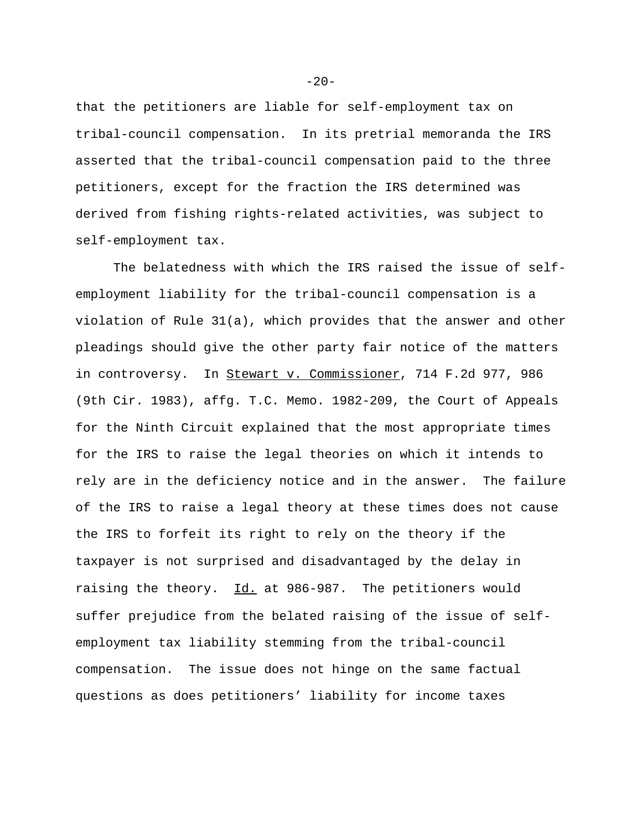that the petitioners are liable for self-employment tax on tribal-council compensation. In its pretrial memoranda the IRS asserted that the tribal-council compensation paid to the three petitioners, except for the fraction the IRS determined was derived from fishing rights-related activities, was subject to self-employment tax.

The belatedness with which the IRS raised the issue of selfemployment liability for the tribal-council compensation is a violation of Rule 31(a), which provides that the answer and other pleadings should give the other party fair notice of the matters in controversy. In Stewart v. Commissioner, 714 F.2d 977, 986 (9th Cir. 1983), affg. T.C. Memo. 1982-209, the Court of Appeals for the Ninth Circuit explained that the most appropriate times for the IRS to raise the legal theories on which it intends to rely are in the deficiency notice and in the answer. The failure of the IRS to raise a legal theory at these times does not cause the IRS to forfeit its right to rely on the theory if the taxpayer is not surprised and disadvantaged by the delay in raising the theory. Id. at 986-987. The petitioners would suffer prejudice from the belated raising of the issue of selfemployment tax liability stemming from the tribal-council compensation. The issue does not hinge on the same factual questions as does petitioners' liability for income taxes

 $-20-$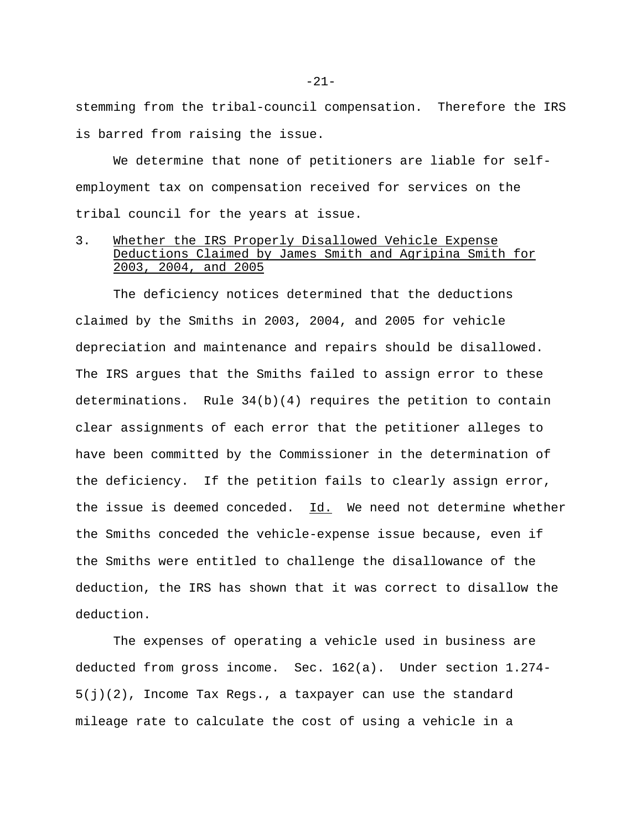stemming from the tribal-council compensation. Therefore the IRS is barred from raising the issue.

We determine that none of petitioners are liable for selfemployment tax on compensation received for services on the tribal council for the years at issue.

## 3. Whether the IRS Properly Disallowed Vehicle Expense Deductions Claimed by James Smith and Agripina Smith for 2003, 2004, and 2005

The deficiency notices determined that the deductions claimed by the Smiths in 2003, 2004, and 2005 for vehicle depreciation and maintenance and repairs should be disallowed. The IRS argues that the Smiths failed to assign error to these determinations. Rule  $34(b)(4)$  requires the petition to contain clear assignments of each error that the petitioner alleges to have been committed by the Commissioner in the determination of the deficiency. If the petition fails to clearly assign error, the issue is deemed conceded. Id. We need not determine whether the Smiths conceded the vehicle-expense issue because, even if the Smiths were entitled to challenge the disallowance of the deduction, the IRS has shown that it was correct to disallow the deduction.

The expenses of operating a vehicle used in business are deducted from gross income. Sec. 162(a). Under section 1.274- 5(j)(2), Income Tax Regs., a taxpayer can use the standard mileage rate to calculate the cost of using a vehicle in a

-21-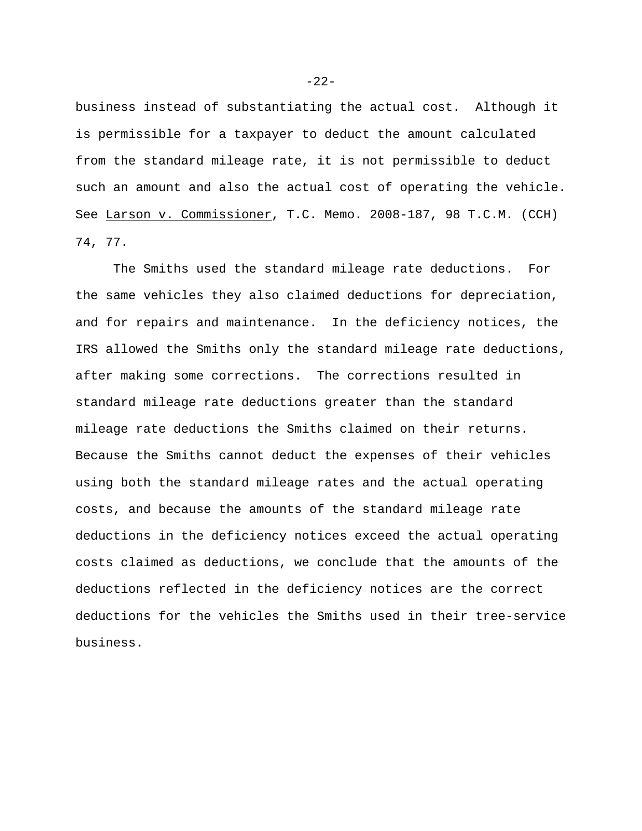business instead of substantiating the actual cost. Although it is permissible for a taxpayer to deduct the amount calculated from the standard mileage rate, it is not permissible to deduct such an amount and also the actual cost of operating the vehicle. See Larson v. Commissioner, T.C. Memo. 2008-187, 98 T.C.M. (CCH) 74, 77.

 The Smiths used the standard mileage rate deductions. For the same vehicles they also claimed deductions for depreciation, and for repairs and maintenance. In the deficiency notices, the IRS allowed the Smiths only the standard mileage rate deductions, after making some corrections. The corrections resulted in standard mileage rate deductions greater than the standard mileage rate deductions the Smiths claimed on their returns. Because the Smiths cannot deduct the expenses of their vehicles using both the standard mileage rates and the actual operating costs, and because the amounts of the standard mileage rate deductions in the deficiency notices exceed the actual operating costs claimed as deductions, we conclude that the amounts of the deductions reflected in the deficiency notices are the correct deductions for the vehicles the Smiths used in their tree-service business.

 $-22-$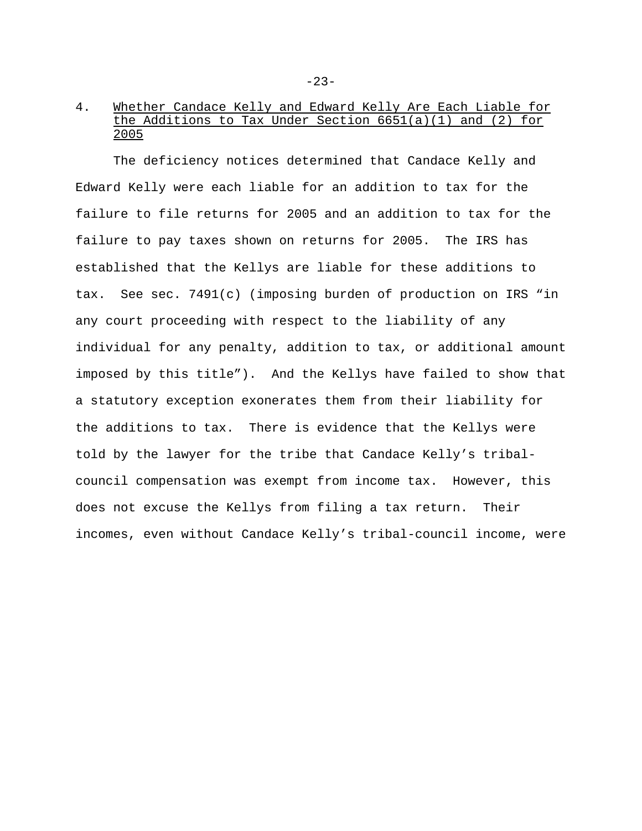# 4. Whether Candace Kelly and Edward Kelly Are Each Liable for the Additions to Tax Under Section 6651(a)(1) and (2) for 2005

The deficiency notices determined that Candace Kelly and Edward Kelly were each liable for an addition to tax for the failure to file returns for 2005 and an addition to tax for the failure to pay taxes shown on returns for 2005. The IRS has established that the Kellys are liable for these additions to tax. See sec. 7491(c) (imposing burden of production on IRS "in any court proceeding with respect to the liability of any individual for any penalty, addition to tax, or additional amount imposed by this title"). And the Kellys have failed to show that a statutory exception exonerates them from their liability for the additions to tax. There is evidence that the Kellys were told by the lawyer for the tribe that Candace Kelly's tribalcouncil compensation was exempt from income tax. However, this does not excuse the Kellys from filing a tax return. Their incomes, even without Candace Kelly's tribal-council income, were